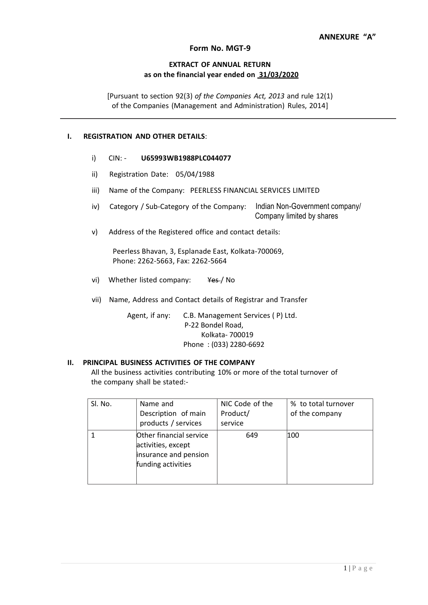#### **Form No. MGT-9**

#### **EXTRACT OF ANNUAL RETURN as on the financial year ended on 31/03/2020**

[Pursuant to section 92(3) *of the Companies Act, 2013* and rule 12(1) of the Companies (Management and Administration) Rules, 2014]

#### **I. REGISTRATION AND OTHER DETAILS**:

- i) CIN: **U65993WB1988PLC044077**
- ii) Registration Date: 05/04/1988
- iii) Name of the Company: PEERLESS FINANCIAL SERVICES LIMITED
- iv) Category / Sub-Category of the Company: Indian Non-Government company/ Company limited by shares
- v) Address of the Registered office and contact details:

Peerless Bhavan, 3, Esplanade East, Kolkata-700069, Phone: 2262-5663, Fax: 2262-5664

- vi) Whether listed company: Yes / No
- vii) Name, Address and Contact details of Registrar and Transfer

Agent, if any: C.B. Management Services ( P) Ltd. P-22 Bondel Road, Kolkata- 700019 Phone : (033) 2280-6692

#### **II. PRINCIPAL BUSINESS ACTIVITIES OF THE COMPANY**

All the business activities contributing 10% or more of the total turnover of the company shall be stated:-

| SI. No. | Name and                                                                                     | NIC Code of the | % to total turnover |
|---------|----------------------------------------------------------------------------------------------|-----------------|---------------------|
|         | Description of main                                                                          | Product/        | of the company      |
|         | products / services                                                                          | service         |                     |
|         | Other financial service<br>activities, except<br>insurance and pension<br>funding activities | 649             | 100                 |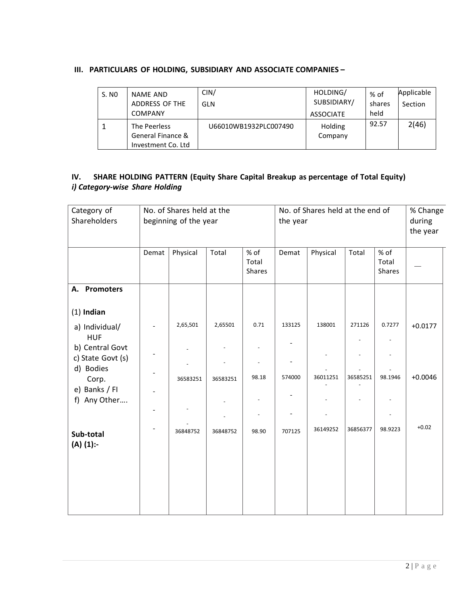#### **III. PARTICULARS OF HOLDING, SUBSIDIARY AND ASSOCIATE COMPANIES –**

| S. NO | <b>NAME AND</b><br>ADDRESS OF THE<br><b>COMPANY</b>     | CIN/<br>GLN           | HOLDING/<br>SUBSIDIARY/<br><b>ASSOCIATE</b> | % of<br>shares<br>held | Applicable<br>Section |
|-------|---------------------------------------------------------|-----------------------|---------------------------------------------|------------------------|-----------------------|
|       | The Peerless<br>General Finance &<br>Investment Co. Ltd | U66010WB1932PLC007490 | Holding<br>Company                          | 92.57                  | 2(46)                 |

### **IV. SHARE HOLDING PATTERN (Equity Share Capital Breakup as percentage of Total Equity)** *i) Category-wise Share Holding*

| Category of<br>Shareholders          | No. of Shares held at the<br>beginning of the year |          |          | No. of Shares held at the end of<br>the year |        |          |          | % Change<br>during<br>the year |           |
|--------------------------------------|----------------------------------------------------|----------|----------|----------------------------------------------|--------|----------|----------|--------------------------------|-----------|
|                                      | Demat                                              | Physical | Total    | % of<br>Total<br>Shares                      | Demat  | Physical | Total    | % of<br>Total<br>Shares        |           |
| A. Promoters                         |                                                    |          |          |                                              |        |          |          |                                |           |
| $(1)$ Indian                         |                                                    |          |          |                                              |        |          |          |                                |           |
| a) Individual/<br><b>HUF</b>         |                                                    | 2,65,501 | 2,65501  | 0.71                                         | 133125 | 138001   | 271126   | 0.7277                         | $+0.0177$ |
| b) Central Govt<br>c) State Govt (s) |                                                    |          |          |                                              |        |          |          |                                |           |
| d) Bodies<br>Corp.<br>e) Banks / FI  | $\frac{1}{2}$                                      | 36583251 | 36583251 | 98.18                                        | 574000 | 36011251 | 36585251 | 98.1946                        | $+0.0046$ |
| f) Any Other                         |                                                    |          |          |                                              |        |          |          |                                |           |
| Sub-total<br>$(A)$ $(1)$ :-          |                                                    | 36848752 | 36848752 | 98.90                                        | 707125 | 36149252 | 36856377 | 98.9223                        | $+0.02$   |
|                                      |                                                    |          |          |                                              |        |          |          |                                |           |
|                                      |                                                    |          |          |                                              |        |          |          |                                |           |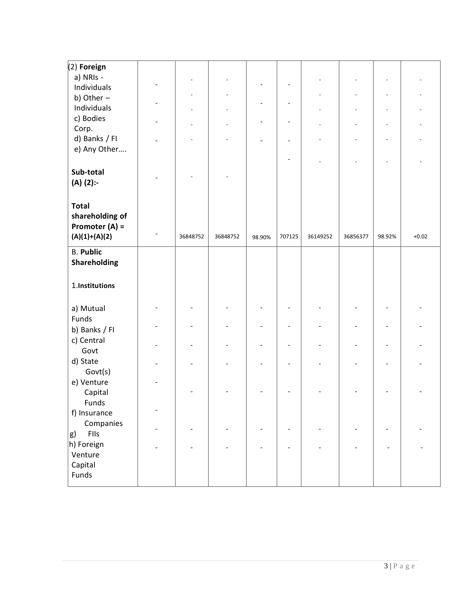| $(2)$ Foreign       |          |          |        |                          |          |          |        |         |
|---------------------|----------|----------|--------|--------------------------|----------|----------|--------|---------|
| a) NRIs -           |          |          |        |                          |          |          |        |         |
| Individuals         |          |          |        |                          |          |          |        |         |
| b) Other $-$        |          |          |        |                          |          |          |        |         |
| Individuals         |          |          |        |                          |          |          |        |         |
| c) Bodies           |          |          |        |                          |          |          |        |         |
| Corp.               |          |          |        |                          |          |          |        |         |
| d) Banks / FI       |          |          |        |                          |          |          |        |         |
| e) Any Other        |          |          |        |                          |          |          |        |         |
|                     |          |          |        |                          |          |          |        |         |
| Sub-total           |          |          |        |                          |          |          |        |         |
|                     |          |          |        |                          |          |          |        |         |
| (A) (2):-           |          |          |        |                          |          |          |        |         |
|                     |          |          |        |                          |          |          |        |         |
| <b>Total</b>        |          |          |        |                          |          |          |        |         |
| shareholding of     |          |          |        |                          |          |          |        |         |
| Promoter (A) =      |          |          |        |                          |          |          |        |         |
| $(A)(1)+(A)(2)$     | 36848752 | 36848752 | 98.90% | 707125                   | 36149252 | 36856377 | 98.92% | $+0.02$ |
| <b>B.</b> Public    |          |          |        |                          |          |          |        |         |
| <b>Shareholding</b> |          |          |        |                          |          |          |        |         |
|                     |          |          |        |                          |          |          |        |         |
| 1.Institutions      |          |          |        |                          |          |          |        |         |
|                     |          |          |        |                          |          |          |        |         |
| a) Mutual           |          |          |        |                          |          |          |        |         |
| Funds               |          |          |        |                          |          |          |        |         |
|                     |          |          |        |                          |          |          |        |         |
| b) Banks / FI       |          |          |        |                          |          |          |        |         |
| c) Central          |          |          |        | $\overline{\phantom{a}}$ |          |          |        |         |
| Govt                |          |          |        |                          |          |          |        |         |
| d) State            |          |          |        |                          |          |          |        |         |
| Govt(s)             |          |          |        |                          |          |          |        |         |
| e) Venture          |          |          |        |                          |          |          |        |         |
| Capital             |          |          |        |                          |          |          |        |         |
| Funds               |          |          |        |                          |          |          |        |         |
| f) Insurance        |          |          |        |                          |          |          |        |         |
| Companies           |          |          |        |                          |          |          |        |         |
| FIIs<br>g)          |          |          |        |                          |          |          |        |         |
| h) Foreign          |          |          |        |                          |          |          |        |         |
| Venture             |          |          |        |                          |          |          |        |         |
| Capital             |          |          |        |                          |          |          |        |         |
| Funds               |          |          |        |                          |          |          |        |         |
|                     |          |          |        |                          |          |          |        |         |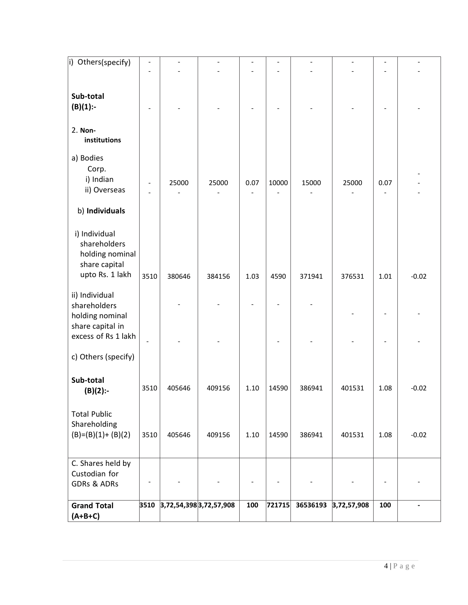| i) Others(specify)                                                                   | $\overline{\phantom{0}}$ |        |                         |      |        |          |             |                          |         |
|--------------------------------------------------------------------------------------|--------------------------|--------|-------------------------|------|--------|----------|-------------|--------------------------|---------|
|                                                                                      |                          |        |                         |      |        |          |             |                          |         |
| Sub-total<br>$(B)(1)$ :-                                                             |                          |        |                         |      |        |          |             |                          |         |
| 2. Non-<br>institutions                                                              |                          |        |                         |      |        |          |             |                          |         |
| a) Bodies<br>Corp.<br>i) Indian<br>ii) Overseas                                      |                          | 25000  | 25000                   | 0.07 | 10000  | 15000    | 25000       | 0.07                     |         |
| b) Individuals                                                                       |                          |        |                         |      |        |          |             |                          |         |
| i) Individual<br>shareholders<br>holding nominal<br>share capital<br>upto Rs. 1 lakh | 3510                     | 380646 | 384156                  | 1.03 | 4590   | 371941   | 376531      | 1.01                     | $-0.02$ |
| ii) Individual<br>shareholders<br>holding nominal                                    |                          |        |                         |      |        |          |             |                          |         |
| share capital in<br>excess of Rs 1 lakh                                              |                          |        |                         |      |        |          |             |                          |         |
| c) Others (specify)                                                                  |                          |        |                         |      |        |          |             |                          |         |
| Sub-total<br>$(B)(2)$ :-                                                             | 3510                     | 405646 | 409156                  | 1.10 | 14590  | 386941   | 401531      | 1.08                     | $-0.02$ |
| <b>Total Public</b><br>Shareholding<br>$(B)=(B)(1)+(B)(2)$                           | 3510                     | 405646 | 409156                  | 1.10 | 14590  | 386941   | 401531      | 1.08                     | $-0.02$ |
| C. Shares held by<br>Custodian for<br><b>GDRs &amp; ADRs</b>                         | $\overline{\phantom{0}}$ |        |                         |      |        |          |             | $\overline{\phantom{a}}$ |         |
| <b>Grand Total</b><br>$(A+B+C)$                                                      | 3510                     |        | 3,72,54,398 3,72,57,908 | 100  | 721715 | 36536193 | 3,72,57,908 | 100                      | -       |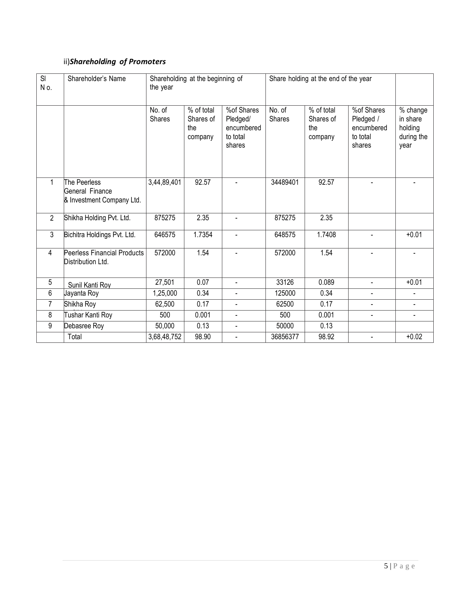## ii)*Shareholding of Promoters*

| SI<br>No.      | Shareholder's Name                                           | Shareholding at the beginning of<br>the year |                                           |                                                            | Share holding at the end of the year |                                           |                                                             |                                                       |
|----------------|--------------------------------------------------------------|----------------------------------------------|-------------------------------------------|------------------------------------------------------------|--------------------------------------|-------------------------------------------|-------------------------------------------------------------|-------------------------------------------------------|
|                |                                                              | No. of<br>Shares                             | % of total<br>Shares of<br>the<br>company | %of Shares<br>Pledged/<br>encumbered<br>to total<br>shares | No. of<br><b>Shares</b>              | % of total<br>Shares of<br>the<br>company | %of Shares<br>Pledged /<br>encumbered<br>to total<br>shares | % change<br>in share<br>holding<br>during the<br>year |
| 1              | The Peerless<br>General Finance<br>& Investment Company Ltd. | 3,44,89,401                                  | 92.57                                     |                                                            | 34489401                             | 92.57                                     |                                                             |                                                       |
| $\overline{2}$ | Shikha Holding Pvt. Ltd.                                     | 875275                                       | 2.35                                      |                                                            | 875275                               | 2.35                                      |                                                             |                                                       |
| 3              | Bichitra Holdings Pvt. Ltd.                                  | 646575                                       | 1.7354                                    | $\blacksquare$                                             | 648575                               | 1.7408                                    | $\blacksquare$                                              | $+0.01$                                               |
| 4              | Peerless Financial Products<br>Distribution Ltd.             | 572000                                       | 1.54                                      |                                                            | 572000                               | 1.54                                      | $\blacksquare$                                              |                                                       |
| 5              | Sunil Kanti Roy                                              | 27,501                                       | 0.07                                      | $\blacksquare$                                             | 33126                                | 0.089                                     | $\blacksquare$                                              | $+0.01$                                               |
| 6              | Jayanta Roy                                                  | 1,25,000                                     | 0.34                                      |                                                            | 125000                               | 0.34                                      |                                                             |                                                       |
| $\overline{7}$ | Shikha Roy                                                   | 62,500                                       | 0.17                                      | $\blacksquare$                                             | 62500                                | 0.17                                      | $\blacksquare$                                              | $\blacksquare$                                        |
| 8              | Tushar Kanti Roy                                             | 500                                          | 0.001                                     | $\blacksquare$                                             | 500                                  | 0.001                                     | $\overline{a}$                                              | $\overline{a}$                                        |
| 9              | Debasree Roy                                                 | 50,000                                       | 0.13                                      | $\blacksquare$                                             | 50000                                | 0.13                                      |                                                             |                                                       |
|                | Total                                                        | 3,68,48,752                                  | 98.90                                     | $\blacksquare$                                             | 36856377                             | 98.92                                     | $\blacksquare$                                              | $+0.02$                                               |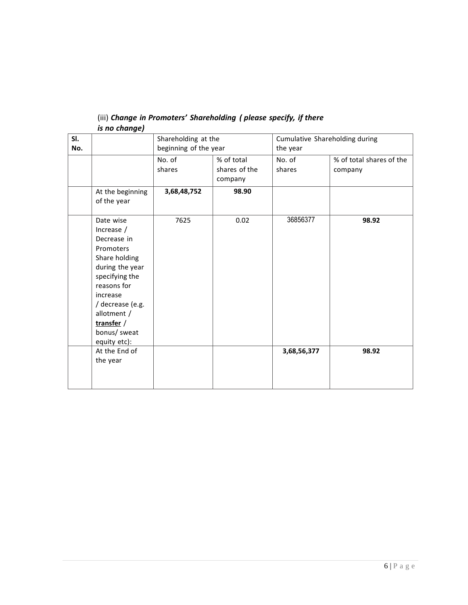| SI. |                                                                                                                                                                                                                       | Shareholding at the   |               | Cumulative Shareholding during |                          |  |  |
|-----|-----------------------------------------------------------------------------------------------------------------------------------------------------------------------------------------------------------------------|-----------------------|---------------|--------------------------------|--------------------------|--|--|
| No. |                                                                                                                                                                                                                       | beginning of the year |               | the year                       |                          |  |  |
|     |                                                                                                                                                                                                                       | No. of                | % of total    | No. of                         | % of total shares of the |  |  |
|     |                                                                                                                                                                                                                       | shares                | shares of the | shares                         | company                  |  |  |
|     |                                                                                                                                                                                                                       |                       | company       |                                |                          |  |  |
|     | At the beginning                                                                                                                                                                                                      | 3,68,48,752           | 98.90         |                                |                          |  |  |
|     | of the year                                                                                                                                                                                                           |                       |               |                                |                          |  |  |
|     | Date wise<br>Increase /<br>Decrease in<br>Promoters<br>Share holding<br>during the year<br>specifying the<br>reasons for<br>increase<br>/ decrease (e.g.<br>allotment /<br>transfer /<br>bonus/ sweat<br>equity etc): | 7625                  | 0.02          | 36856377                       | 98.92                    |  |  |
|     | At the End of<br>the year                                                                                                                                                                                             |                       |               | 3,68,56,377                    | 98.92                    |  |  |

#### (iii) *Change in Promoters' Shareholding ( please specify, if there is no change)*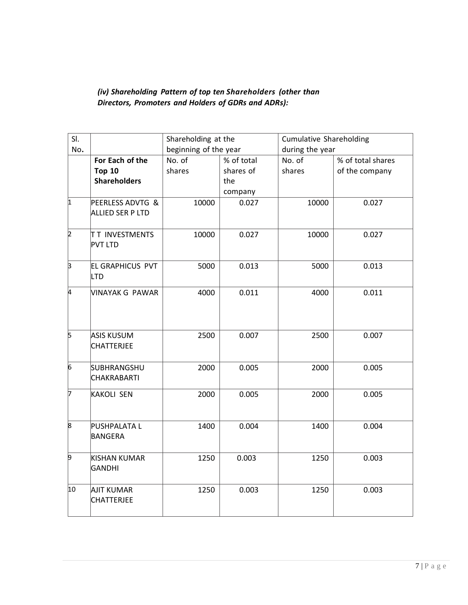## *(iv) Shareholding Pattern of top ten Shareholders (other than Directors, Promoters and Holders of GDRs and ADRs):*

| SI.          |                                         | Shareholding at the   |            | <b>Cumulative Shareholding</b> |                   |  |
|--------------|-----------------------------------------|-----------------------|------------|--------------------------------|-------------------|--|
| No.          |                                         | beginning of the year |            | during the year                |                   |  |
|              | For Each of the                         | No. of                | % of total | No. of                         | % of total shares |  |
|              | <b>Top 10</b>                           | shares                | shares of  | shares                         | of the company    |  |
|              | <b>Shareholders</b>                     |                       | the        |                                |                   |  |
|              |                                         |                       | company    |                                |                   |  |
| $\vert$ 1    | PEERLESS ADVTG &<br>ALLIED SER P LTD    | 10000                 | 0.027      | 10000                          | 0.027             |  |
| <sub>2</sub> | <b>TT INVESTMENTS</b><br><b>PVT LTD</b> | 10000                 | 0.027      | 10000                          | 0.027             |  |
| 3            | <b>EL GRAPHICUS PVT</b><br>LTD          | 5000                  | 0.013      | 5000                           | 0.013             |  |
| k.           | VINAYAK G PAWAR                         | 4000                  | 0.011      | 4000                           | 0.011             |  |
| ļ5           | <b>ASIS KUSUM</b><br><b>CHATTERJEE</b>  | 2500                  | 0.007      | 2500                           | 0.007             |  |
| 6            | SUBHRANGSHU<br><b>CHAKRABARTI</b>       | 2000                  | 0.005      | 2000                           | 0.005             |  |
| 7            | <b>KAKOLI SEN</b>                       | 2000                  | 0.005      | 2000                           | 0.005             |  |
| 8            | <b>PUSHPALATA L</b><br>BANGERA          | 1400                  | 0.004      | 1400                           | 0.004             |  |
| þ            | KISHAN KUMAR<br>GANDHI                  | 1250                  | 0.003      | 1250                           | 0.003             |  |
| 10           | <b>AJIT KUMAR</b><br><b>CHATTERJEE</b>  | 1250                  | 0.003      | 1250                           | 0.003             |  |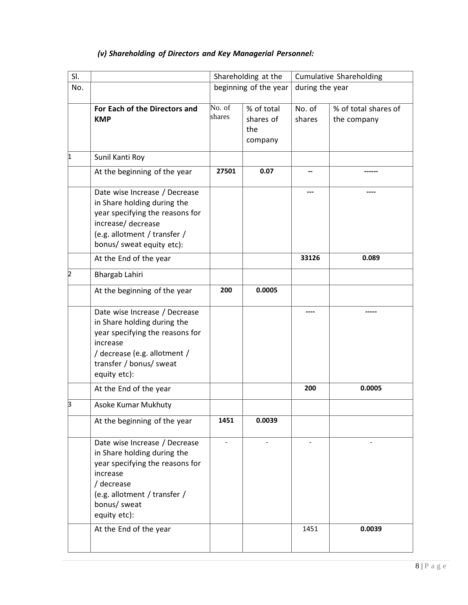# *(v) Shareholding of Directors and Key Managerial Personnel:*

| SI. |                                                                                                                                                                                           |                  | Shareholding at the                       | <b>Cumulative Shareholding</b> |                                     |  |
|-----|-------------------------------------------------------------------------------------------------------------------------------------------------------------------------------------------|------------------|-------------------------------------------|--------------------------------|-------------------------------------|--|
| No. |                                                                                                                                                                                           |                  | beginning of the year                     | during the year                |                                     |  |
|     | For Each of the Directors and<br><b>KMP</b>                                                                                                                                               | No. of<br>shares | % of total<br>shares of<br>the<br>company | No. of<br>shares               | % of total shares of<br>the company |  |
| 1   | Sunil Kanti Roy                                                                                                                                                                           |                  |                                           |                                |                                     |  |
|     | At the beginning of the year                                                                                                                                                              | 27501            | 0.07                                      | --                             |                                     |  |
|     | Date wise Increase / Decrease<br>in Share holding during the<br>year specifying the reasons for<br>increase/ decrease<br>(e.g. allotment / transfer /<br>bonus/ sweat equity etc):        |                  |                                           |                                |                                     |  |
|     | At the End of the year                                                                                                                                                                    |                  |                                           | 33126                          | 0.089                               |  |
| 2   | Bhargab Lahiri                                                                                                                                                                            |                  |                                           |                                |                                     |  |
|     | At the beginning of the year                                                                                                                                                              | 200              | 0.0005                                    |                                |                                     |  |
|     | Date wise Increase / Decrease<br>in Share holding during the<br>year specifying the reasons for<br>increase<br>/ decrease (e.g. allotment /<br>transfer / bonus/ sweat<br>equity etc):    |                  |                                           |                                |                                     |  |
|     | At the End of the year                                                                                                                                                                    |                  |                                           | 200                            | 0.0005                              |  |
| þ   | Asoke Kumar Mukhuty                                                                                                                                                                       |                  |                                           |                                |                                     |  |
|     | At the beginning of the year                                                                                                                                                              | 1451             | 0.0039                                    |                                |                                     |  |
|     | Date wise Increase / Decrease<br>in Share holding during the<br>year specifying the reasons for<br>increase<br>/ decrease<br>(e.g. allotment / transfer /<br>bonus/ sweat<br>equity etc): |                  |                                           |                                |                                     |  |
|     | At the End of the year                                                                                                                                                                    |                  |                                           | 1451                           | 0.0039                              |  |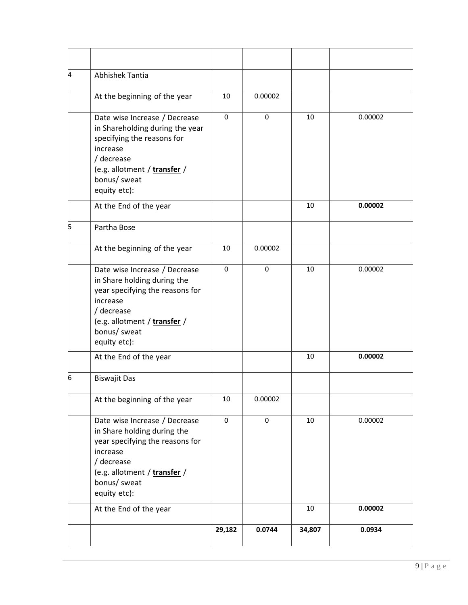| 4 | Abhishek Tantia                                                                                                                                                                           |             |         |        |         |
|---|-------------------------------------------------------------------------------------------------------------------------------------------------------------------------------------------|-------------|---------|--------|---------|
|   | At the beginning of the year                                                                                                                                                              | 10          | 0.00002 |        |         |
|   | Date wise Increase / Decrease<br>in Shareholding during the year<br>specifying the reasons for<br>increase<br>/ decrease<br>(e.g. allotment / transfer /<br>bonus/ sweat<br>equity etc):  | $\Omega$    | 0       | 10     | 0.00002 |
|   | At the End of the year                                                                                                                                                                    |             |         | 10     | 0.00002 |
| 5 | Partha Bose                                                                                                                                                                               |             |         |        |         |
|   | At the beginning of the year                                                                                                                                                              | 10          | 0.00002 |        |         |
|   | Date wise Increase / Decrease<br>in Share holding during the<br>year specifying the reasons for<br>increase<br>/ decrease<br>(e.g. allotment / transfer /<br>bonus/ sweat<br>equity etc): | $\mathbf 0$ | 0       | 10     | 0.00002 |
|   | At the End of the year                                                                                                                                                                    |             |         | 10     | 0.00002 |
| 6 | <b>Biswajit Das</b>                                                                                                                                                                       |             |         |        |         |
|   | At the beginning of the year                                                                                                                                                              | 10          | 0.00002 |        |         |
|   | Date wise Increase / Decrease<br>in Share holding during the<br>year specifying the reasons for<br>increase<br>/ decrease<br>(e.g. allotment / transfer /<br>bonus/ sweat<br>equity etc): | $\pmb{0}$   | 0       | 10     | 0.00002 |
|   | At the End of the year                                                                                                                                                                    |             |         | 10     | 0.00002 |
|   |                                                                                                                                                                                           | 29,182      | 0.0744  | 34,807 | 0.0934  |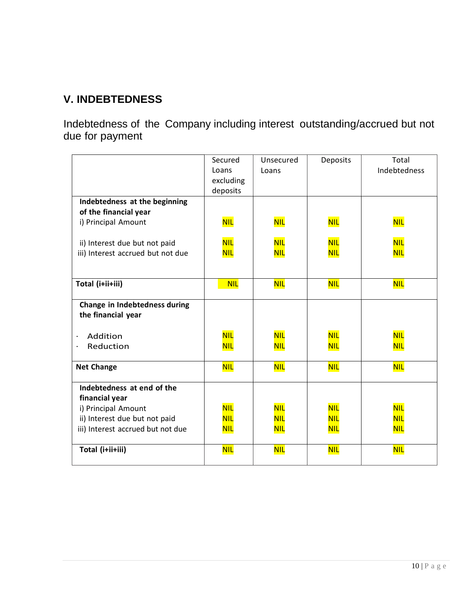# **V. INDEBTEDNESS**

Indebtedness of the Company including interest outstanding/accrued but not due for payment

|                                   | Secured    | Unsecured  | Deposits   | Total        |
|-----------------------------------|------------|------------|------------|--------------|
|                                   | Loans      | Loans      |            | Indebtedness |
|                                   | excluding  |            |            |              |
|                                   | deposits   |            |            |              |
| Indebtedness at the beginning     |            |            |            |              |
| of the financial year             |            |            |            |              |
| i) Principal Amount               | <b>NIL</b> | <b>NIL</b> | <b>NIL</b> | <b>NIL</b>   |
|                                   |            |            |            |              |
| ii) Interest due but not paid     | <b>NIL</b> | <b>NIL</b> | <b>NIL</b> | <b>NIL</b>   |
| iii) Interest accrued but not due | <b>NIL</b> | <b>NIL</b> | <b>NIL</b> | <b>NIL</b>   |
|                                   |            |            |            |              |
|                                   |            |            |            |              |
| Total (i+ii+iii)                  | <b>NIL</b> | <b>NIL</b> | <b>NIL</b> | <b>NIL</b>   |
|                                   |            |            |            |              |
| Change in Indebtedness during     |            |            |            |              |
| the financial year                |            |            |            |              |
|                                   |            |            |            |              |
| Addition                          | <b>NIL</b> | <b>NIL</b> | <b>NIL</b> | <b>NIL</b>   |
| Reduction                         | <b>NIL</b> | <b>NIL</b> | <b>NIL</b> | <b>NIL</b>   |
|                                   |            |            |            |              |
| <b>Net Change</b>                 | <b>NIL</b> | <b>NIL</b> | <b>NIL</b> | <b>NIL</b>   |
| Indebtedness at end of the        |            |            |            |              |
| financial year                    |            |            |            |              |
| i) Principal Amount               | <b>NIL</b> | <b>NIL</b> | <b>NIL</b> | <b>NIL</b>   |
| ii) Interest due but not paid     | <b>NIL</b> | <b>NIL</b> | <b>NIL</b> | <b>NIL</b>   |
| iii) Interest accrued but not due | <b>NIL</b> | <u>NIL</u> | <b>NIL</b> | <b>NIL</b>   |
|                                   |            |            |            |              |
| Total (i+ii+iii)                  | <b>NIL</b> | <b>NIL</b> | <b>NIL</b> | <b>NIL</b>   |
|                                   |            |            |            |              |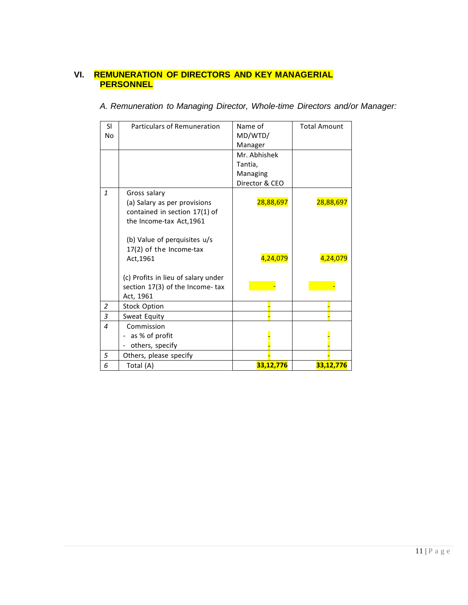### **VI. REMUNERATION OF DIRECTORS AND KEY MANAGERIAL PERSONNEL**

|  | A. Remuneration to Managing Director, Whole-time Directors and/or Manager: |  |  |  |  |  |  |
|--|----------------------------------------------------------------------------|--|--|--|--|--|--|
|--|----------------------------------------------------------------------------|--|--|--|--|--|--|

| SI.              | Particulars of Remuneration                                                                               | Name of        | <b>Total Amount</b> |
|------------------|-----------------------------------------------------------------------------------------------------------|----------------|---------------------|
| No               |                                                                                                           | MD/WTD/        |                     |
|                  |                                                                                                           | Manager        |                     |
|                  |                                                                                                           | Mr. Abhishek   |                     |
|                  |                                                                                                           | Tantia,        |                     |
|                  |                                                                                                           | Managing       |                     |
|                  |                                                                                                           | Director & CEO |                     |
| $\mathbf{1}$     | Gross salary<br>(a) Salary as per provisions<br>contained in section 17(1) of<br>the Income-tax Act, 1961 | 28,88,697      | 28,88,697           |
|                  | (b) Value of perquisites u/s<br>17(2) of the Income-tax<br>Act, 1961                                      | 4,24,079       | 4,24,079            |
|                  | (c) Profits in lieu of salary under<br>section 17(3) of the Income-tax<br>Act, 1961                       |                |                     |
| $\overline{2}$   | <b>Stock Option</b>                                                                                       |                |                     |
| 3                | Sweat Equity                                                                                              |                |                     |
| $\boldsymbol{4}$ | Commission                                                                                                |                |                     |
|                  | as % of profit                                                                                            |                |                     |
|                  | others, specify<br>$\overline{\phantom{0}}$                                                               |                |                     |
| 5                | Others, please specify                                                                                    |                |                     |
| 6                | Total (A)                                                                                                 | 33,12,776      | 33,12,776           |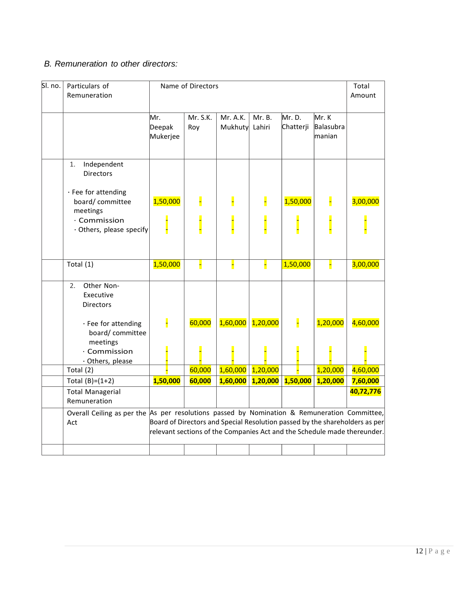### *B. Remuneration to other directors:*

| SI. no. | Particulars of<br>Remuneration                                                                                                                                                                                                                                   | Name of Directors         |                 |                     |                  | Total<br>Amount     |                                     |           |
|---------|------------------------------------------------------------------------------------------------------------------------------------------------------------------------------------------------------------------------------------------------------------------|---------------------------|-----------------|---------------------|------------------|---------------------|-------------------------------------|-----------|
|         |                                                                                                                                                                                                                                                                  | Mr.<br>Deepak<br>Mukerjee | Mr. S.K.<br>Roy | Mr. A.K.<br>Mukhuty | Mr. B.<br>Lahiri | Mr. D.<br>Chatterji | Mr. K<br><b>Balasubra</b><br>manian |           |
|         | Independent<br>1.<br><b>Directors</b>                                                                                                                                                                                                                            |                           |                 |                     |                  |                     |                                     |           |
|         | · Fee for attending<br>board/committee<br>meetings                                                                                                                                                                                                               | 1,50,000                  |                 |                     |                  | 1,50,000            |                                     | 3,00,000  |
|         | · Commission<br>· Others, please specify                                                                                                                                                                                                                         |                           |                 |                     |                  |                     |                                     |           |
|         | Total (1)                                                                                                                                                                                                                                                        | 1,50,000                  |                 |                     |                  | 1,50,000            |                                     | 3,00,000  |
|         | 2.5<br>Other Non-<br>Executive<br><b>Directors</b>                                                                                                                                                                                                               |                           |                 |                     |                  |                     |                                     |           |
|         | · Fee for attending<br>board/committee<br>meetings<br>· Commission                                                                                                                                                                                               | F                         | 60,000          | 1,60,000            | 1,20,000         |                     | 1,20,000                            | 4,60,000  |
|         | · Others, please<br>Total (2)                                                                                                                                                                                                                                    |                           | 60,000          | 1,60,000            | 1,20,000         |                     | 1,20,000                            | 4,60,000  |
|         | Total $(B)=(1+2)$                                                                                                                                                                                                                                                | 1,50,000                  | 60,000          | 1,60,000            | 1,20,000         | 1,50,000            | 1,20,000                            | 7,60,000  |
|         | <b>Total Managerial</b><br>Remuneration                                                                                                                                                                                                                          |                           |                 |                     |                  |                     |                                     | 40,72,776 |
|         | Overall Ceiling as per the $As$ per resolutions passed by Nomination & Remuneration Committee,<br>Board of Directors and Special Resolution passed by the shareholders as per<br>Act<br>relevant sections of the Companies Act and the Schedule made thereunder. |                           |                 |                     |                  |                     |                                     |           |
|         |                                                                                                                                                                                                                                                                  |                           |                 |                     |                  |                     |                                     |           |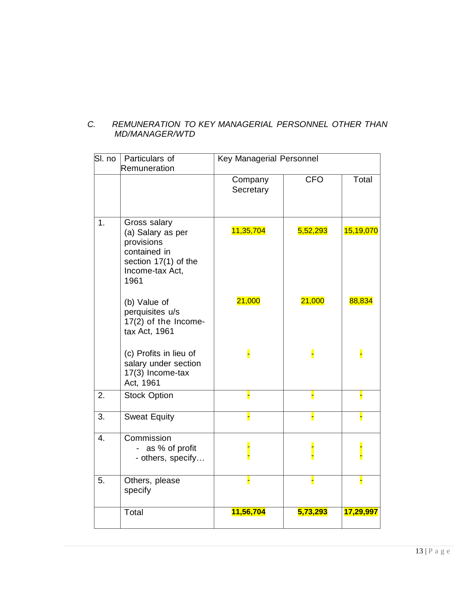#### *C. REMUNERATION TO KEY MANAGERIAL PERSONNEL OTHER THAN MD/MANAGER/WTD*

| SI. no           | Particulars of<br>Remuneration                                                                                     | Key Managerial Personnel |            |           |
|------------------|--------------------------------------------------------------------------------------------------------------------|--------------------------|------------|-----------|
|                  |                                                                                                                    | Company<br>Secretary     | <b>CFO</b> | Total     |
| 1.               | Gross salary<br>(a) Salary as per<br>provisions<br>contained in<br>section 17(1) of the<br>Income-tax Act,<br>1961 | 11,35,704                | 5,52,293   | 15,19,070 |
|                  | (b) Value of<br>perquisites u/s<br>17(2) of the Income-<br>tax Act, 1961                                           | 21,000                   | 21,000     | 88,834    |
|                  | (c) Profits in lieu of<br>salary under section<br>17(3) Income-tax<br>Act, 1961                                    |                          | H          | H         |
| 2.               | <b>Stock Option</b>                                                                                                | Н                        | Н          | Н         |
| 3.               | <b>Sweat Equity</b>                                                                                                |                          |            | Н         |
| $\overline{4}$ . | Commission<br>as % of profit<br>- others, specify                                                                  |                          |            |           |
| 5.               | Others, please<br>specify                                                                                          | Η                        | Н          | H         |
|                  | Total                                                                                                              | 11,56,704                | 5,73,293   | 17,29,997 |